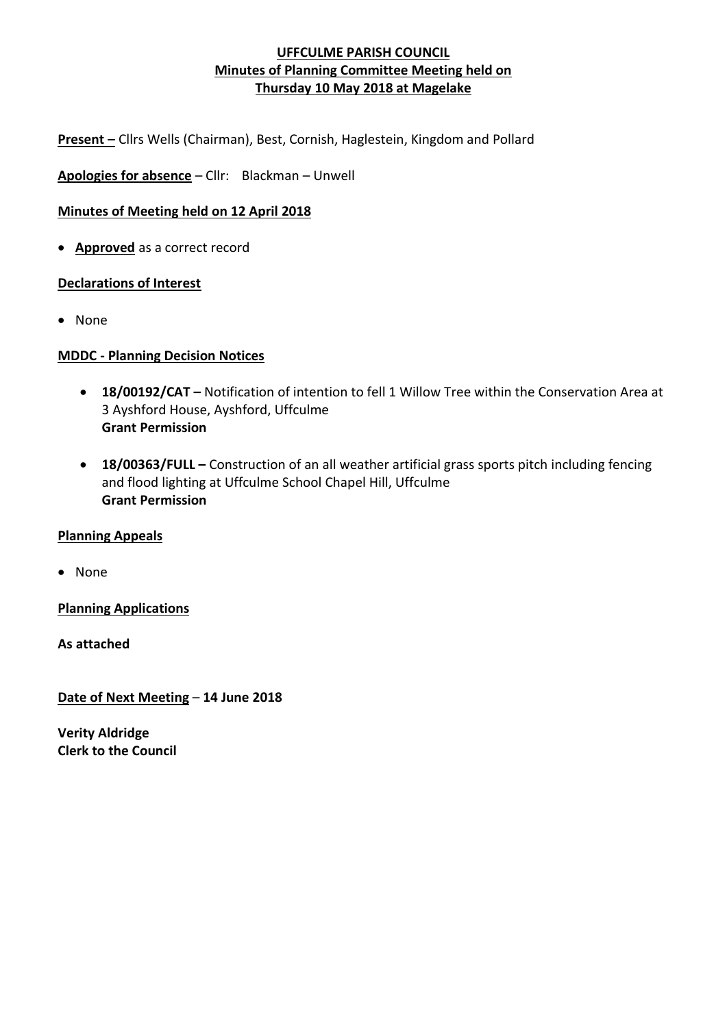**Present –** Cllrs Wells (Chairman), Best, Cornish, Haglestein, Kingdom and Pollard

**Apologies for absence** – Cllr: Blackman – Unwell

## **Minutes of Meeting held on 12 April 2018**

• **Approved** as a correct record

#### **Declarations of Interest**

• None

#### **MDDC - Planning Decision Notices**

- **18/00192/CAT –** Notification of intention to fell 1 Willow Tree within the Conservation Area at 3 Ayshford House, Ayshford, Uffculme **Grant Permission**
- **18/00363/FULL –** Construction of an all weather artificial grass sports pitch including fencing and flood lighting at Uffculme School Chapel Hill, Uffculme **Grant Permission**

#### **Planning Appeals**

• None

**Planning Applications**

**As attached**

**Date of Next Meeting** – **14 June 2018**

**Verity Aldridge Clerk to the Council**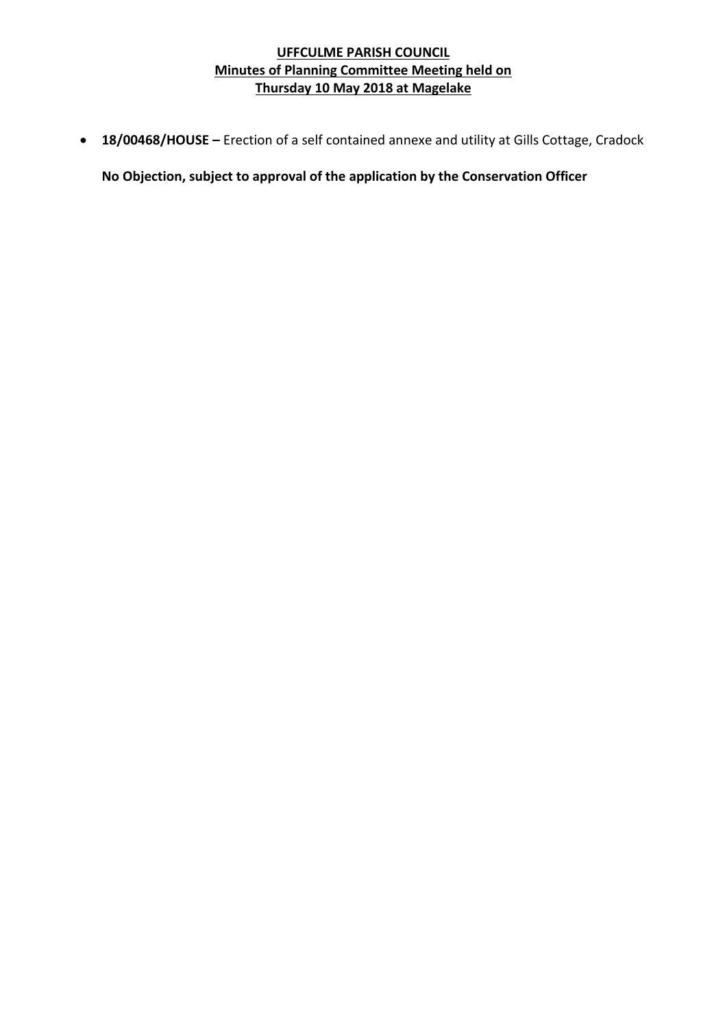• **18/00468/HOUSE –** Erection of a self contained annexe and utility at Gills Cottage, Cradock

**No Objection, subject to approval of the application by the Conservation Officer**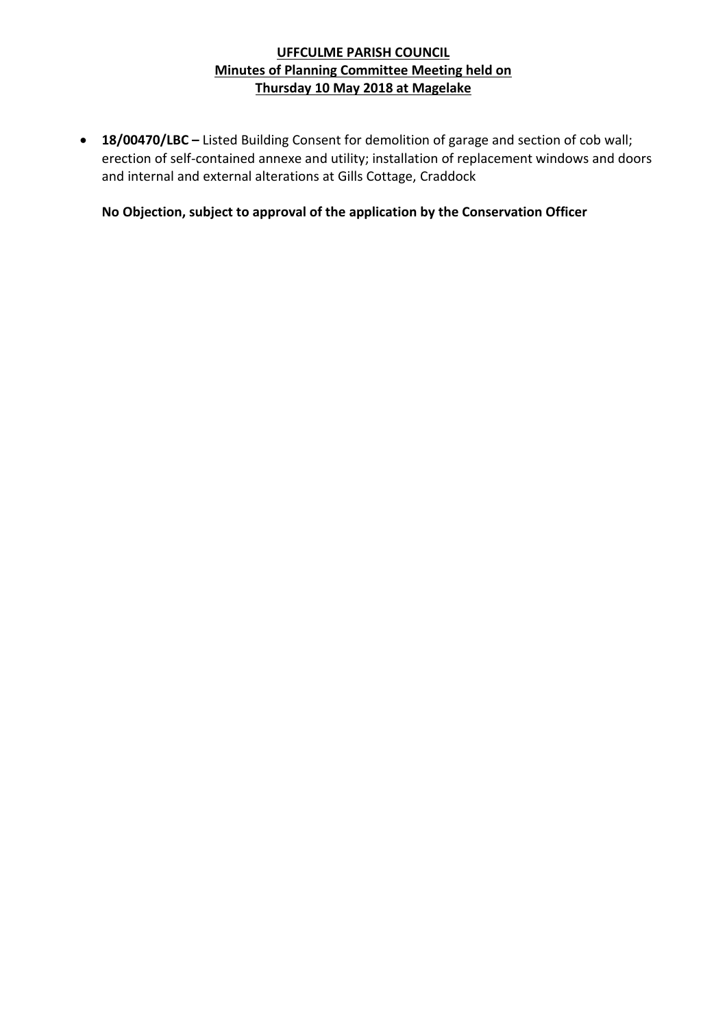• **18/00470/LBC –** Listed Building Consent for demolition of garage and section of cob wall; erection of self-contained annexe and utility; installation of replacement windows and doors and internal and external alterations at Gills Cottage, Craddock

**No Objection, subject to approval of the application by the Conservation Officer**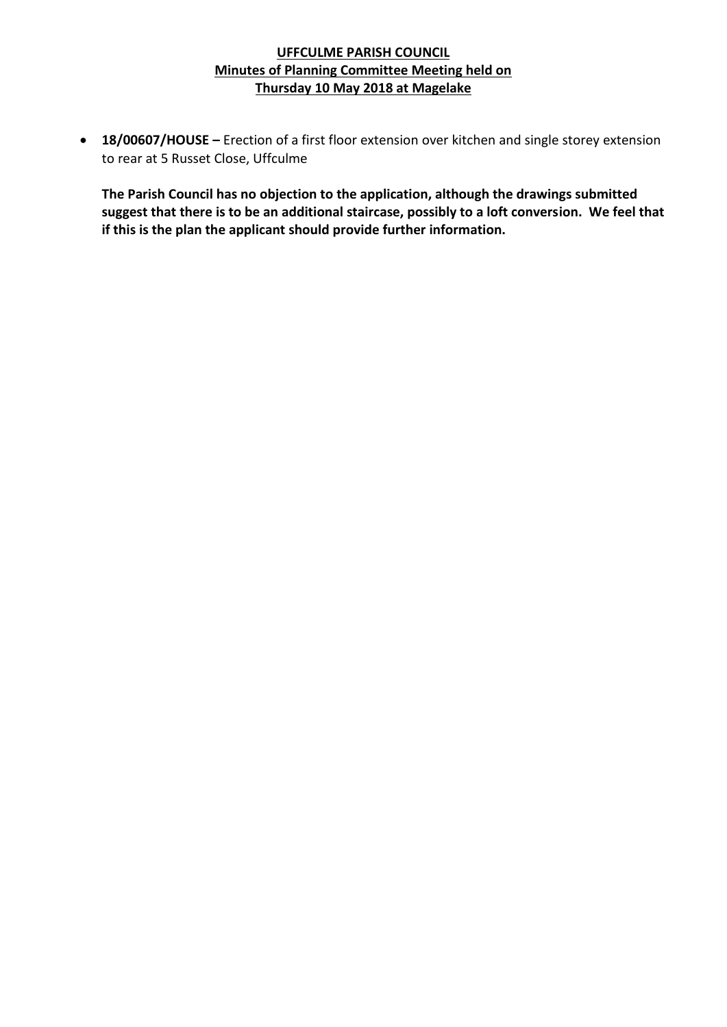• **18/00607/HOUSE –** Erection of a first floor extension over kitchen and single storey extension to rear at 5 Russet Close, Uffculme

**The Parish Council has no objection to the application, although the drawings submitted suggest that there is to be an additional staircase, possibly to a loft conversion. We feel that if this is the plan the applicant should provide further information.**